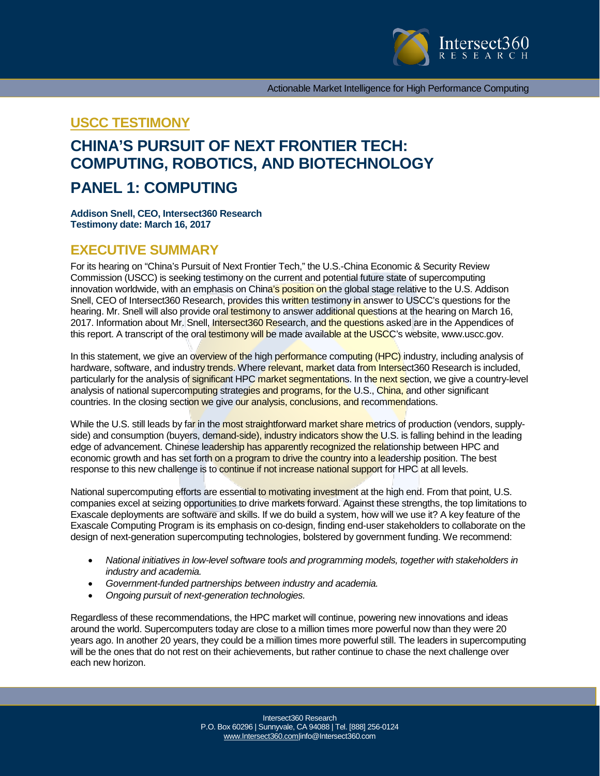

Actionable Market Intelligence for High Performance Computing

## **USCC TESTIMONY**

# **CHINA'S PURSUIT OF NEXT FRONTIER TECH: COMPUTING, ROBOTICS, AND BIOTECHNOLOGY**

# **PANEL 1: COMPUTING**

**Addison Snell, CEO, Intersect360 Research Testimony date: March 16, 2017**

## **EXECUTIVE SUMMARY**

For its hearing on "China's Pursuit of Next Frontier Tech," the U.S.-China Economic & Security Review Commission (USCC) is seeking testimony on the current and potential future state of supercomputing innovation worldwide, with an emphasis on China's position on the global stage relative to the U.S. Addison Snell, CEO of Intersect360 Research, provides this written testimony in answer to USCC's questions for the hearing. Mr. Snell will also provide oral testimony to answer additional questions at the hearing on March 16, 2017. Information about Mr. Snell, Intersect360 Research, and the questions asked are in the Appendices of this report. A transcript of the oral testimony will be made available at the USCC's website, www.uscc.gov.

In this statement, we give an overview of the high performance computing (HPC) industry, including analysis of hardware, software, and industry trends. Where relevant, market data from Intersect360 Research is included, particularly for the analysis of significant HPC market segmentations. In the next section, we give a country-level analysis of national supercomputing strategies and programs, for the U.S., China, and other significant countries. In the closing section we give our analysis, conclusions, and recommendations.

While the U.S. still leads by far in the most straightforward market share metrics of production (vendors, supplyside) and consumption (buyers, demand-side), industry indicators show the U.S. is falling behind in the leading edge of advancement. Chinese leadership has apparently recognized the relationship between HPC and economic growth and has set forth on a program to drive the country into a leadership position. The best response to this new challenge is to continue if not increase national support for HPC at all levels.

National supercomputing efforts are essential to motivating investment at the high end. From that point, U.S. companies excel at seizing opportunities to drive markets forward. Against these strengths, the top limitations to Exascale deployments are software and skills. If we do build a system, how will we use it? A key feature of the Exascale Computing Program is its emphasis on co-design, finding end-user stakeholders to collaborate on the design of next-generation supercomputing technologies, bolstered by government funding. We recommend:

- *National initiatives in low-level software tools and programming models, together with stakeholders in industry and academia.*
- *Government-funded partnerships between industry and academia.*
- *Ongoing pursuit of next-generation technologies.*

Regardless of these recommendations, the HPC market will continue, powering new innovations and ideas around the world. Supercomputers today are close to a million times more powerful now than they were 20 years ago. In another 20 years, they could be a million times more powerful still. The leaders in supercomputing will be the ones that do not rest on their achievements, but rather continue to chase the next challenge over each new horizon.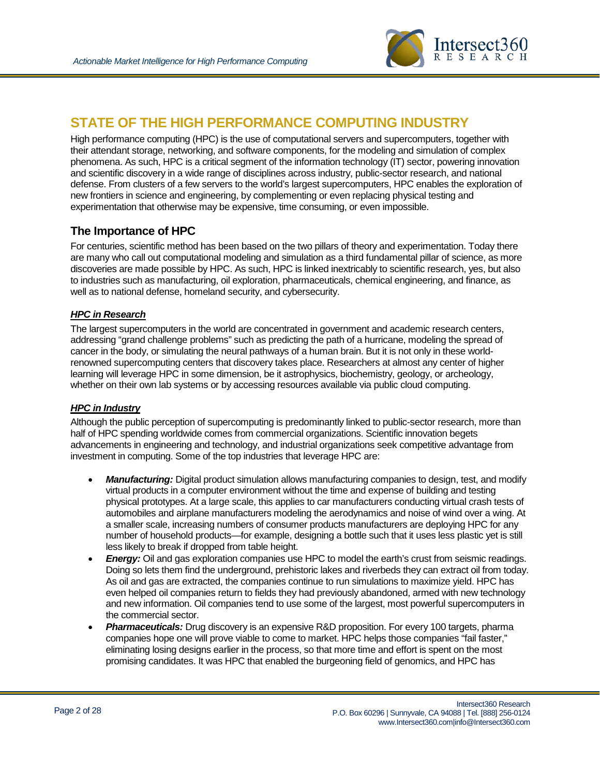

## **STATE OF THE HIGH PERFORMANCE COMPUTING INDUSTRY**

High performance computing (HPC) is the use of computational servers and supercomputers, together with their attendant storage, networking, and software components, for the modeling and simulation of complex phenomena. As such, HPC is a critical segment of the information technology (IT) sector, powering innovation and scientific discovery in a wide range of disciplines across industry, public-sector research, and national defense. From clusters of a few servers to the world's largest supercomputers, HPC enables the exploration of new frontiers in science and engineering, by complementing or even replacing physical testing and experimentation that otherwise may be expensive, time consuming, or even impossible.

## **The Importance of HPC**

For centuries, scientific method has been based on the two pillars of theory and experimentation. Today there are many who call out computational modeling and simulation as a third fundamental pillar of science, as more discoveries are made possible by HPC. As such, HPC is linked inextricably to scientific research, yes, but also to industries such as manufacturing, oil exploration, pharmaceuticals, chemical engineering, and finance, as well as to national defense, homeland security, and cybersecurity.

### *HPC in Research*

The largest supercomputers in the world are concentrated in government and academic research centers, addressing "grand challenge problems" such as predicting the path of a hurricane, modeling the spread of cancer in the body, or simulating the neural pathways of a human brain. But it is not only in these worldrenowned supercomputing centers that discovery takes place. Researchers at almost any center of higher learning will leverage HPC in some dimension, be it astrophysics, biochemistry, geology, or archeology, whether on their own lab systems or by accessing resources available via public cloud computing.

### *HPC in Industry*

Although the public perception of supercomputing is predominantly linked to public-sector research, more than half of HPC spending worldwide comes from commercial organizations. Scientific innovation begets advancements in engineering and technology, and industrial organizations seek competitive advantage from investment in computing. Some of the top industries that leverage HPC are:

- *Manufacturing:* Digital product simulation allows manufacturing companies to design, test, and modify virtual products in a computer environment without the time and expense of building and testing physical prototypes. At a large scale, this applies to car manufacturers conducting virtual crash tests of automobiles and airplane manufacturers modeling the aerodynamics and noise of wind over a wing. At a smaller scale, increasing numbers of consumer products manufacturers are deploying HPC for any number of household products—for example, designing a bottle such that it uses less plastic yet is still less likely to break if dropped from table height.
- **Energy:** Oil and gas exploration companies use HPC to model the earth's crust from seismic readings. Doing so lets them find the underground, prehistoric lakes and riverbeds they can extract oil from today. As oil and gas are extracted, the companies continue to run simulations to maximize yield. HPC has even helped oil companies return to fields they had previously abandoned, armed with new technology and new information. Oil companies tend to use some of the largest, most powerful supercomputers in the commercial sector.
- *Pharmaceuticals:* Drug discovery is an expensive R&D proposition. For every 100 targets, pharma companies hope one will prove viable to come to market. HPC helps those companies "fail faster," eliminating losing designs earlier in the process, so that more time and effort is spent on the most promising candidates. It was HPC that enabled the burgeoning field of genomics, and HPC has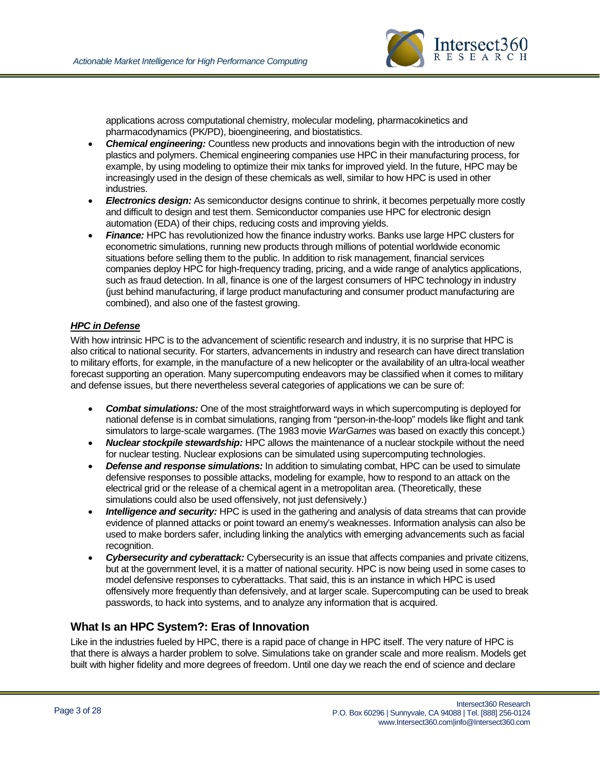

applications across computational chemistry, molecular modeling, pharmacokinetics and pharmacodynamics (PK/PD), bioengineering, and biostatistics.

- *Chemical engineering:* Countless new products and innovations begin with the introduction of new plastics and polymers. Chemical engineering companies use HPC in their manufacturing process, for example, by using modeling to optimize their mix tanks for improved yield. In the future, HPC may be increasingly used in the design of these chemicals as well, similar to how HPC is used in other industries.
- *Electronics design:* As semiconductor designs continue to shrink, it becomes perpetually more costly and difficult to design and test them. Semiconductor companies use HPC for electronic design automation (EDA) of their chips, reducing costs and improving yields.
- *Finance:* HPC has revolutionized how the finance industry works. Banks use large HPC clusters for econometric simulations, running new products through millions of potential worldwide economic situations before selling them to the public. In addition to risk management, financial services companies deploy HPC for high-frequency trading, pricing, and a wide range of analytics applications, such as fraud detection. In all, finance is one of the largest consumers of HPC technology in industry (just behind manufacturing, if large product manufacturing and consumer product manufacturing are combined), and also one of the fastest growing.

### *HPC in Defense*

With how intrinsic HPC is to the advancement of scientific research and industry, it is no surprise that HPC is also critical to national security. For starters, advancements in industry and research can have direct translation to military efforts, for example, in the manufacture of a new helicopter or the availability of an ultra-local weather forecast supporting an operation. Many supercomputing endeavors may be classified when it comes to military and defense issues, but there nevertheless several categories of applications we can be sure of:

- *Combat simulations:* One of the most straightforward ways in which supercomputing is deployed for national defense is in combat simulations, ranging from "person-in-the-loop" models like flight and tank simulators to large-scale wargames. (The 1983 movie *WarGames* was based on exactly this concept.)
- *Nuclear stockpile stewardship:* HPC allows the maintenance of a nuclear stockpile without the need for nuclear testing. Nuclear explosions can be simulated using supercomputing technologies.
- *Defense and response simulations:* In addition to simulating combat, HPC can be used to simulate defensive responses to possible attacks, modeling for example, how to respond to an attack on the electrical grid or the release of a chemical agent in a metropolitan area. (Theoretically, these simulations could also be used offensively, not just defensively.)
- *Intelligence and security:* HPC is used in the gathering and analysis of data streams that can provide evidence of planned attacks or point toward an enemy's weaknesses. Information analysis can also be used to make borders safer, including linking the analytics with emerging advancements such as facial recognition.
- *Cybersecurity and cyberattack:* Cybersecurity is an issue that affects companies and private citizens, but at the government level, it is a matter of national security. HPC is now being used in some cases to model defensive responses to cyberattacks. That said, this is an instance in which HPC is used offensively more frequently than defensively, and at larger scale. Supercomputing can be used to break passwords, to hack into systems, and to analyze any information that is acquired.

## **What Is an HPC System?: Eras of Innovation**

Like in the industries fueled by HPC, there is a rapid pace of change in HPC itself. The very nature of HPC is that there is always a harder problem to solve. Simulations take on grander scale and more realism. Models get built with higher fidelity and more degrees of freedom. Until one day we reach the end of science and declare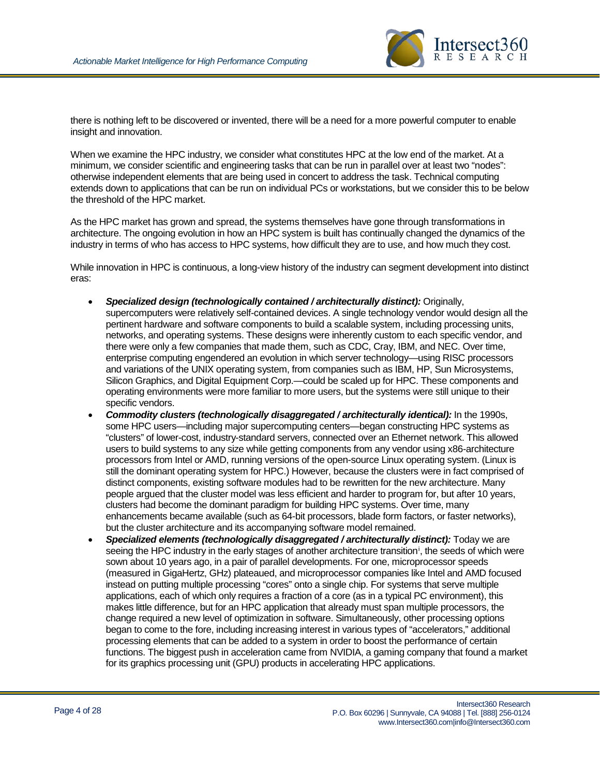

there is nothing left to be discovered or invented, there will be a need for a more powerful computer to enable insight and innovation.

When we examine the HPC industry, we consider what constitutes HPC at the low end of the market. At a minimum, we consider scientific and engineering tasks that can be run in parallel over at least two "nodes": otherwise independent elements that are being used in concert to address the task. Technical computing extends down to applications that can be run on individual PCs or workstations, but we consider this to be below the threshold of the HPC market.

As the HPC market has grown and spread, the systems themselves have gone through transformations in architecture. The ongoing evolution in how an HPC system is built has continually changed the dynamics of the industry in terms of who has access to HPC systems, how difficult they are to use, and how much they cost.

While innovation in HPC is continuous, a long-view history of the industry can segment development into distinct eras:

- *Specialized design (technologically contained / architecturally distinct):* Originally, supercomputers were relatively self-contained devices. A single technology vendor would design all the pertinent hardware and software components to build a scalable system, including processing units, networks, and operating systems. These designs were inherently custom to each specific vendor, and there were only a few companies that made them, such as CDC, Cray, IBM, and NEC. Over time, enterprise computing engendered an evolution in which server technology—using RISC processors and variations of the UNIX operating system, from companies such as IBM, HP, Sun Microsystems, Silicon Graphics, and Digital Equipment Corp.—could be scaled up for HPC. These components and operating environments were more familiar to more users, but the systems were still unique to their specific vendors.
- *Commodity clusters (technologically disaggregated / architecturally identical):* In the 1990s, some HPC users—including major supercomputing centers—began constructing HPC systems as "clusters" of lower-cost, industry-standard servers, connected over an Ethernet network. This allowed users to build systems to any size while getting components from any vendor using x86-architecture processors from Intel or AMD, running versions of the open-source Linux operating system. (Linux is still the dominant operating system for HPC.) However, because the clusters were in fact comprised of distinct components, existing software modules had to be rewritten for the new architecture. Many people argued that the cluster model was less efficient and harder to program for, but after 10 years, clusters had become the dominant paradigm for building HPC systems. Over time, many enhancements became available (such as 64-bit processors, blade form factors, or faster networks), but the cluster architecture and its accompanying software model remained.
- *Specialized elements (technologically disaggregated / architecturally distinct):* Today we are seeing the HPC industry in the early stages of another architecture transition[i](#page-27-0) , the seeds of which were sown about 10 years ago, in a pair of parallel developments. For one, microprocessor speeds (measured in GigaHertz, GHz) plateaued, and microprocessor companies like Intel and AMD focused instead on putting multiple processing "cores" onto a single chip. For systems that serve multiple applications, each of which only requires a fraction of a core (as in a typical PC environment), this makes little difference, but for an HPC application that already must span multiple processors, the change required a new level of optimization in software. Simultaneously, other processing options began to come to the fore, including increasing interest in various types of "accelerators," additional processing elements that can be added to a system in order to boost the performance of certain functions. The biggest push in acceleration came from NVIDIA, a gaming company that found a market for its graphics processing unit (GPU) products in accelerating HPC applications.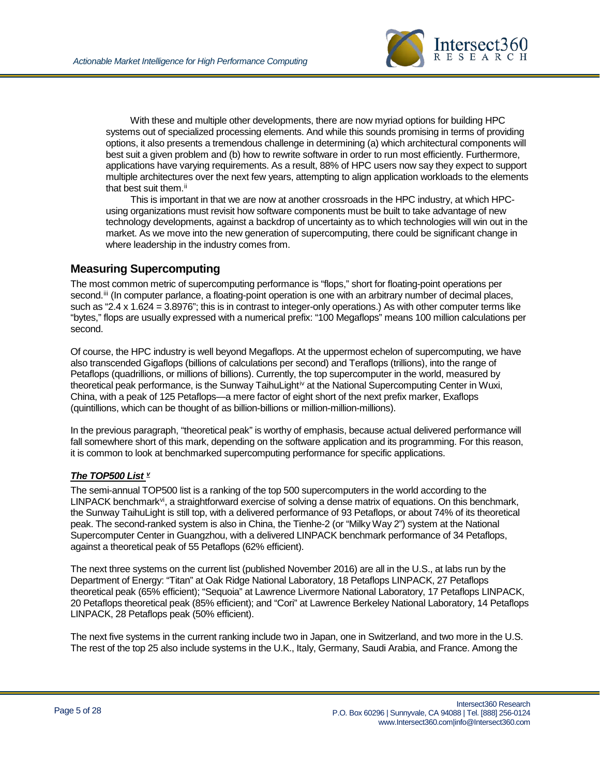

 With these and multiple other developments, there are now myriad options for building HPC systems out of specialized processing elements. And while this sounds promising in terms of providing options, it also presents a tremendous challenge in determining (a) which architectural components will best suit a given problem and (b) how to rewrite software in order to run most efficiently. Furthermore, applications have varying requirements. As a result, 88% of HPC users now say they expect to support multiple architectures over the next few years, attempting to align application workloads to the elements that best suit them.<sup>[ii](#page-27-1)</sup>

 This is important in that we are now at another crossroads in the HPC industry, at which HPCusing organizations must revisit how software components must be built to take advantage of new technology developments, against a backdrop of uncertainty as to which technologies will win out in the market. As we move into the new generation of supercomputing, there could be significant change in where leadership in the industry comes from.

## **Measuring Supercomputing**

The most common metric of supercomputing performance is "flops," short for floating-point operations per second.<sup>[iii](#page-27-2)</sup> (In computer parlance, a floating-point operation is one with an arbitrary number of decimal places, such as "2.4 x 1.624 = 3.8976"; this is in contrast to integer-only operations.) As with other computer terms like "bytes," flops are usually expressed with a numerical prefix: "100 Megaflops" means 100 million calculations per second.

Of course, the HPC industry is well beyond Megaflops. At the uppermost echelon of supercomputing, we have also transcended Gigaflops (billions of calculations per second) and Teraflops (trillions), into the range of Petaflops (quadrillions, or millions of billions). Currently, the top supercomputer in the world, measured by theoretical peak performance, is the Sunway TaihuLight<sup>[iv](#page-27-3)</sup> at the National Supercomputing Center in Wuxi, China, with a peak of 125 Petaflops—a mere factor of eight short of the next prefix marker, Exaflops (quintillions, which can be thought of as billion-billions or million-million-millions).

In the previous paragraph, "theoretical peak" is worthy of emphasis, because actual delivered performance will fall somewhere short of this mark, depending on the software application and its programming. For this reason, it is common to look at benchmarked supercomputing performance for specific applications.

### *The TOP500 List [v](#page-27-4)*

The semi-annual TOP500 list is a ranking of the top 500 supercomputers in the world according to the LINPACK benchmar[kvi](#page-27-5), a straightforward exercise of solving a dense matrix of equations. On this benchmark, the Sunway TaihuLight is still top, with a delivered performance of 93 Petaflops, or about 74% of its theoretical peak. The second-ranked system is also in China, the Tienhe-2 (or "Milky Way 2") system at the National Supercomputer Center in Guangzhou, with a delivered LINPACK benchmark performance of 34 Petaflops, against a theoretical peak of 55 Petaflops (62% efficient).

The next three systems on the current list (published November 2016) are all in the U.S., at labs run by the Department of Energy: "Titan" at Oak Ridge National Laboratory, 18 Petaflops LINPACK, 27 Petaflops theoretical peak (65% efficient); "Sequoia" at Lawrence Livermore National Laboratory, 17 Petaflops LINPACK, 20 Petaflops theoretical peak (85% efficient); and "Cori" at Lawrence Berkeley National Laboratory, 14 Petaflops LINPACK, 28 Petaflops peak (50% efficient).

The next five systems in the current ranking include two in Japan, one in Switzerland, and two more in the U.S. The rest of the top 25 also include systems in the U.K., Italy, Germany, Saudi Arabia, and France. Among the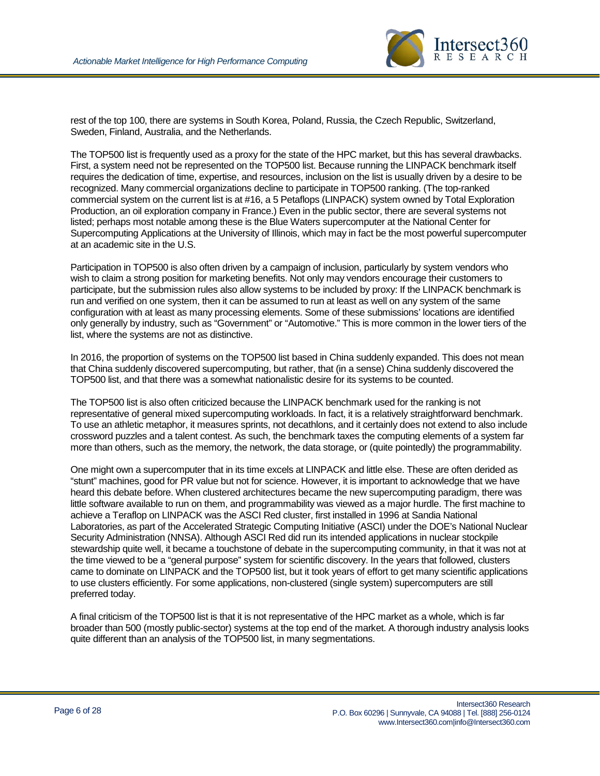

rest of the top 100, there are systems in South Korea, Poland, Russia, the Czech Republic, Switzerland, Sweden, Finland, Australia, and the Netherlands.

The TOP500 list is frequently used as a proxy for the state of the HPC market, but this has several drawbacks. First, a system need not be represented on the TOP500 list. Because running the LINPACK benchmark itself requires the dedication of time, expertise, and resources, inclusion on the list is usually driven by a desire to be recognized. Many commercial organizations decline to participate in TOP500 ranking. (The top-ranked commercial system on the current list is at #16, a 5 Petaflops (LINPACK) system owned by Total Exploration Production, an oil exploration company in France.) Even in the public sector, there are several systems not listed; perhaps most notable among these is the Blue Waters supercomputer at the National Center for Supercomputing Applications at the University of Illinois, which may in fact be the most powerful supercomputer at an academic site in the U.S.

Participation in TOP500 is also often driven by a campaign of inclusion, particularly by system vendors who wish to claim a strong position for marketing benefits. Not only may vendors encourage their customers to participate, but the submission rules also allow systems to be included by proxy: If the LINPACK benchmark is run and verified on one system, then it can be assumed to run at least as well on any system of the same configuration with at least as many processing elements. Some of these submissions' locations are identified only generally by industry, such as "Government" or "Automotive." This is more common in the lower tiers of the list, where the systems are not as distinctive.

In 2016, the proportion of systems on the TOP500 list based in China suddenly expanded. This does not mean that China suddenly discovered supercomputing, but rather, that (in a sense) China suddenly discovered the TOP500 list, and that there was a somewhat nationalistic desire for its systems to be counted.

The TOP500 list is also often criticized because the LINPACK benchmark used for the ranking is not representative of general mixed supercomputing workloads. In fact, it is a relatively straightforward benchmark. To use an athletic metaphor, it measures sprints, not decathlons, and it certainly does not extend to also include crossword puzzles and a talent contest. As such, the benchmark taxes the computing elements of a system far more than others, such as the memory, the network, the data storage, or (quite pointedly) the programmability.

One might own a supercomputer that in its time excels at LINPACK and little else. These are often derided as "stunt" machines, good for PR value but not for science. However, it is important to acknowledge that we have heard this debate before. When clustered architectures became the new supercomputing paradigm, there was little software available to run on them, and programmability was viewed as a major hurdle. The first machine to achieve a Teraflop on LINPACK was the ASCI Red cluster, first installed in 1996 at Sandia National Laboratories, as part of the Accelerated Strategic Computing Initiative (ASCI) under the DOE's National Nuclear Security Administration (NNSA). Although ASCI Red did run its intended applications in nuclear stockpile stewardship quite well, it became a touchstone of debate in the supercomputing community, in that it was not at the time viewed to be a "general purpose" system for scientific discovery. In the years that followed, clusters came to dominate on LINPACK and the TOP500 list, but it took years of effort to get many scientific applications to use clusters efficiently. For some applications, non-clustered (single system) supercomputers are still preferred today.

A final criticism of the TOP500 list is that it is not representative of the HPC market as a whole, which is far broader than 500 (mostly public-sector) systems at the top end of the market. A thorough industry analysis looks quite different than an analysis of the TOP500 list, in many segmentations.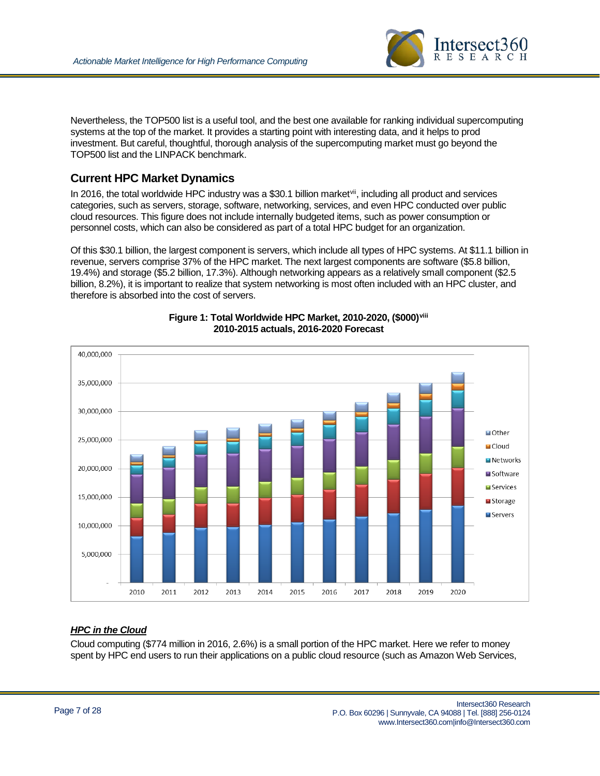

Nevertheless, the TOP500 list is a useful tool, and the best one available for ranking individual supercomputing systems at the top of the market. It provides a starting point with interesting data, and it helps to prod investment. But careful, thoughtful, thorough analysis of the supercomputing market must go beyond the TOP500 list and the LINPACK benchmark.

## **Current HPC Market Dynamics**

In 2016, the total worldwide HPC industry was a \$30.1 billion market<sup>vii</sup>, including all product and services categories, such as servers, storage, software, networking, services, and even HPC conducted over public cloud resources. This figure does not include internally budgeted items, such as power consumption or personnel costs, which can also be considered as part of a total HPC budget for an organization.

Of this \$30.1 billion, the largest component is servers, which include all types of HPC systems. At \$11.1 billion in revenue, servers comprise 37% of the HPC market. The next largest components are software (\$5.8 billion, 19.4%) and storage (\$5.2 billion, 17.3%). Although networking appears as a relatively small component (\$2.5 billion, 8.2%), it is important to realize that system networking is most often included with an HPC cluster, and therefore is absorbed into the cost of servers.





## *HPC in the Cloud*

Cloud computing (\$774 million in 2016, 2.6%) is a small portion of the HPC market. Here we refer to money spent by HPC end users to run their applications on a public cloud resource (such as Amazon Web Services,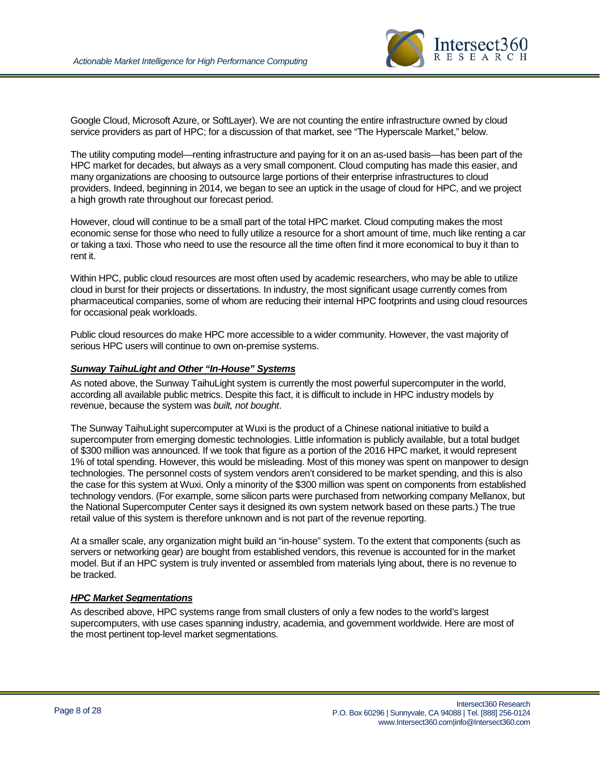

Google Cloud, Microsoft Azure, or SoftLayer). We are not counting the entire infrastructure owned by cloud service providers as part of HPC; for a discussion of that market, see "The Hyperscale Market," below.

The utility computing model—renting infrastructure and paying for it on an as-used basis—has been part of the HPC market for decades, but always as a very small component. Cloud computing has made this easier, and many organizations are choosing to outsource large portions of their enterprise infrastructures to cloud providers. Indeed, beginning in 2014, we began to see an uptick in the usage of cloud for HPC, and we project a high growth rate throughout our forecast period.

However, cloud will continue to be a small part of the total HPC market. Cloud computing makes the most economic sense for those who need to fully utilize a resource for a short amount of time, much like renting a car or taking a taxi. Those who need to use the resource all the time often find it more economical to buy it than to rent it.

Within HPC, public cloud resources are most often used by academic researchers, who may be able to utilize cloud in burst for their projects or dissertations. In industry, the most significant usage currently comes from pharmaceutical companies, some of whom are reducing their internal HPC footprints and using cloud resources for occasional peak workloads.

Public cloud resources do make HPC more accessible to a wider community. However, the vast majority of serious HPC users will continue to own on-premise systems.

#### *Sunway TaihuLight and Other "In-House" Systems*

As noted above, the Sunway TaihuLight system is currently the most powerful supercomputer in the world, according all available public metrics. Despite this fact, it is difficult to include in HPC industry models by revenue, because the system was *built, not bought*.

The Sunway TaihuLight supercomputer at Wuxi is the product of a Chinese national initiative to build a supercomputer from emerging domestic technologies. Little information is publicly available, but a total budget of \$300 million was announced. If we took that figure as a portion of the 2016 HPC market, it would represent 1% of total spending. However, this would be misleading. Most of this money was spent on manpower to design technologies. The personnel costs of system vendors aren't considered to be market spending, and this is also the case for this system at Wuxi. Only a minority of the \$300 million was spent on components from established technology vendors. (For example, some silicon parts were purchased from networking company Mellanox, but the National Supercomputer Center says it designed its own system network based on these parts.) The true retail value of this system is therefore unknown and is not part of the revenue reporting.

At a smaller scale, any organization might build an "in-house" system. To the extent that components (such as servers or networking gear) are bought from established vendors, this revenue is accounted for in the market model. But if an HPC system is truly invented or assembled from materials lying about, there is no revenue to be tracked.

### *HPC Market Segmentations*

As described above, HPC systems range from small clusters of only a few nodes to the world's largest supercomputers, with use cases spanning industry, academia, and government worldwide. Here are most of the most pertinent top-level market segmentations.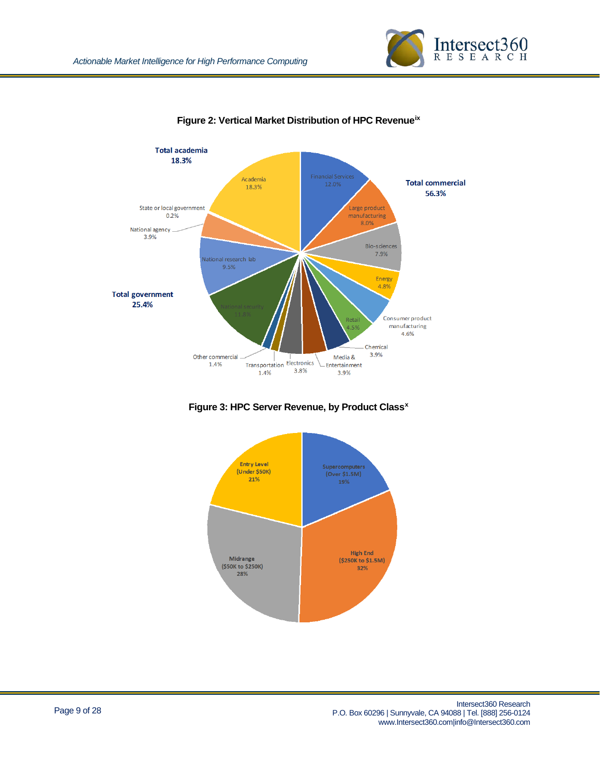



## **Figure 2: Vertical Market Distribution of HPC Revenue[ix](#page-27-8)**

**Figure 3: HPC Server Revenue, by Product Clas[sx](#page-27-9)**

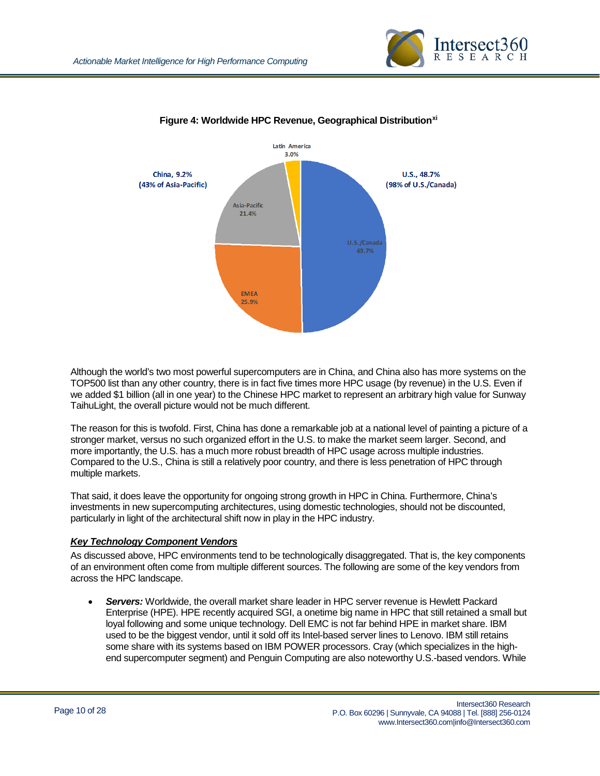



### **Figure 4: Worldwide HPC Revenue, Geographical Distribution<sup>xi</sup>**

Although the world's two most powerful supercomputers are in China, and China also has more systems on the TOP500 list than any other country, there is in fact five times more HPC usage (by revenue) in the U.S. Even if we added \$1 billion (all in one year) to the Chinese HPC market to represent an arbitrary high value for Sunway TaihuLight, the overall picture would not be much different.

The reason for this is twofold. First, China has done a remarkable job at a national level of painting a picture of a stronger market, versus no such organized effort in the U.S. to make the market seem larger. Second, and more importantly, the U.S. has a much more robust breadth of HPC usage across multiple industries. Compared to the U.S., China is still a relatively poor country, and there is less penetration of HPC through multiple markets.

That said, it does leave the opportunity for ongoing strong growth in HPC in China. Furthermore, China's investments in new supercomputing architectures, using domestic technologies, should not be discounted, particularly in light of the architectural shift now in play in the HPC industry.

### *Key Technology Component Vendors*

As discussed above, HPC environments tend to be technologically disaggregated. That is, the key components of an environment often come from multiple different sources. The following are some of the key vendors from across the HPC landscape.

• *Servers:* Worldwide, the overall market share leader in HPC server revenue is Hewlett Packard Enterprise (HPE). HPE recently acquired SGI, a onetime big name in HPC that still retained a small but loyal following and some unique technology. Dell EMC is not far behind HPE in market share. IBM used to be the biggest vendor, until it sold off its Intel-based server lines to Lenovo. IBM still retains some share with its systems based on IBM POWER processors. Cray (which specializes in the highend supercomputer segment) and Penguin Computing are also noteworthy U.S.-based vendors. While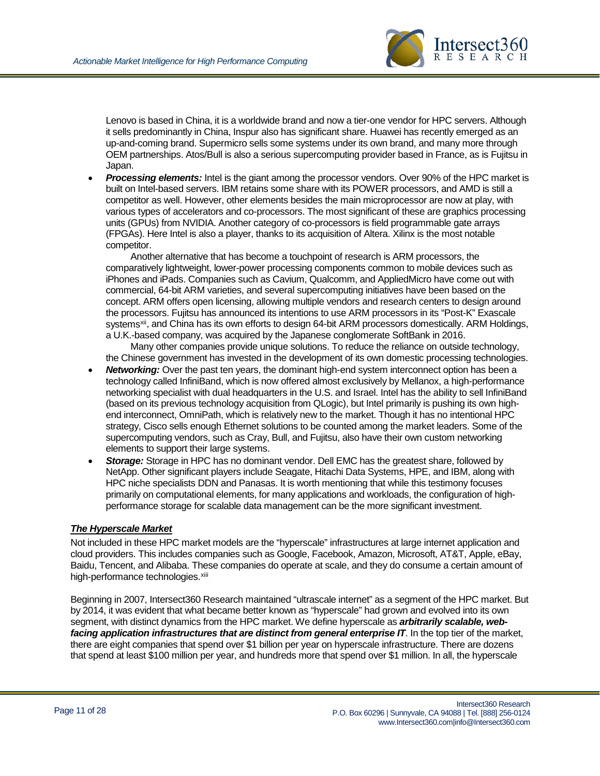

Lenovo is based in China, it is a worldwide brand and now a tier-one vendor for HPC servers. Although it sells predominantly in China, Inspur also has significant share. Huawei has recently emerged as an up-and-coming brand. Supermicro sells some systems under its own brand, and many more through OEM partnerships. Atos/Bull is also a serious supercomputing provider based in France, as is Fujitsu in Japan.

• *Processing elements:* Intel is the giant among the processor vendors. Over 90% of the HPC market is built on Intel-based servers. IBM retains some share with its POWER processors, and AMD is still a competitor as well. However, other elements besides the main microprocessor are now at play, with various types of accelerators and co-processors. The most significant of these are graphics processing units (GPUs) from NVIDIA. Another category of co-processors is field programmable gate arrays (FPGAs). Here Intel is also a player, thanks to its acquisition of Altera. Xilinx is the most notable competitor.

 Another alternative that has become a touchpoint of research is ARM processors, the comparatively lightweight, lower-power processing components common to mobile devices such as iPhones and iPads. Companies such as Cavium, Qualcomm, and AppliedMicro have come out with commercial, 64-bit ARM varieties, and several supercomputing initiatives have been based on the concept. ARM offers open licensing, allowing multiple vendors and research centers to design around the processors. Fujitsu has announced its intentions to use ARM processors in its "Post-K" Exascale systems<sup>xii</sup>, and China has its own efforts to design 64-bit ARM processors domestically. ARM Holdings, a U.K.-based company, was acquired by the Japanese conglomerate SoftBank in 2016.

 Many other companies provide unique solutions. To reduce the reliance on outside technology, the Chinese government has invested in the development of its own domestic processing technologies.

- **Networking:** Over the past ten years, the dominant high-end system interconnect option has been a technology called InfiniBand, which is now offered almost exclusively by Mellanox, a high-performance networking specialist with dual headquarters in the U.S. and Israel. Intel has the ability to sell InfiniBand (based on its previous technology acquisition from QLogic), but Intel primarily is pushing its own highend interconnect, OmniPath, which is relatively new to the market. Though it has no intentional HPC strategy, Cisco sells enough Ethernet solutions to be counted among the market leaders. Some of the supercomputing vendors, such as Cray, Bull, and Fujitsu, also have their own custom networking elements to support their large systems.
- *Storage:* Storage in HPC has no dominant vendor. Dell EMC has the greatest share, followed by NetApp. Other significant players include Seagate, Hitachi Data Systems, HPE, and IBM, along with HPC niche specialists DDN and Panasas. It is worth mentioning that while this testimony focuses primarily on computational elements, for many applications and workloads, the configuration of highperformance storage for scalable data management can be the more significant investment.

### *The Hyperscale Market*

Not included in these HPC market models are the "hyperscale" infrastructures at large internet application and cloud providers. This includes companies such as Google, Facebook, Amazon, Microsoft, AT&T, Apple, eBay, Baidu, Tencent, and Alibaba. These companies do operate at scale, and they do consume a certain amount of high-performance technologies.[xiii](#page-27-12)

Beginning in 2007, Intersect360 Research maintained "ultrascale internet" as a segment of the HPC market. But by 2014, it was evident that what became better known as "hyperscale" had grown and evolved into its own segment, with distinct dynamics from the HPC market. We define hyperscale as *arbitrarily scalable, webfacing application infrastructures that are distinct from general enterprise IT*. In the top tier of the market, there are eight companies that spend over \$1 billion per year on hyperscale infrastructure. There are dozens that spend at least \$100 million per year, and hundreds more that spend over \$1 million. In all, the hyperscale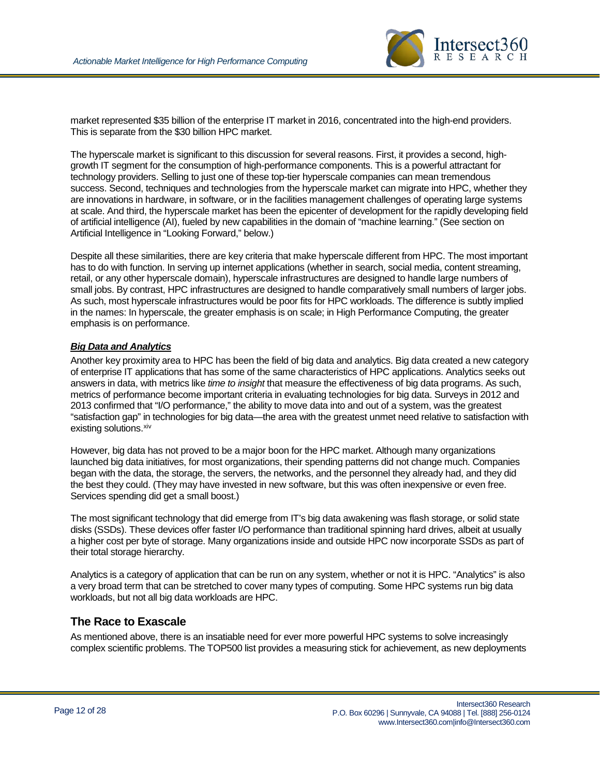

market represented \$35 billion of the enterprise IT market in 2016, concentrated into the high-end providers. This is separate from the \$30 billion HPC market.

The hyperscale market is significant to this discussion for several reasons. First, it provides a second, highgrowth IT segment for the consumption of high-performance components. This is a powerful attractant for technology providers. Selling to just one of these top-tier hyperscale companies can mean tremendous success. Second, techniques and technologies from the hyperscale market can migrate into HPC, whether they are innovations in hardware, in software, or in the facilities management challenges of operating large systems at scale. And third, the hyperscale market has been the epicenter of development for the rapidly developing field of artificial intelligence (AI), fueled by new capabilities in the domain of "machine learning." (See section on Artificial Intelligence in "Looking Forward," below.)

Despite all these similarities, there are key criteria that make hyperscale different from HPC. The most important has to do with function. In serving up internet applications (whether in search, social media, content streaming, retail, or any other hyperscale domain), hyperscale infrastructures are designed to handle large numbers of small jobs. By contrast, HPC infrastructures are designed to handle comparatively small numbers of larger jobs. As such, most hyperscale infrastructures would be poor fits for HPC workloads. The difference is subtly implied in the names: In hyperscale, the greater emphasis is on scale; in High Performance Computing, the greater emphasis is on performance.

#### *Big Data and Analytics*

Another key proximity area to HPC has been the field of big data and analytics. Big data created a new category of enterprise IT applications that has some of the same characteristics of HPC applications. Analytics seeks out answers in data, with metrics like *time to insight* that measure the effectiveness of big data programs. As such, metrics of performance become important criteria in evaluating technologies for big data. Surveys in 2012 and 2013 confirmed that "I/O performance," the ability to move data into and out of a system, was the greatest "satisfaction gap" in technologies for big data—the area with the greatest unmet need relative to satisfaction with existing solutions. [xiv](#page-27-13)

However, big data has not proved to be a major boon for the HPC market. Although many organizations launched big data initiatives, for most organizations, their spending patterns did not change much. Companies began with the data, the storage, the servers, the networks, and the personnel they already had, and they did the best they could. (They may have invested in new software, but this was often inexpensive or even free. Services spending did get a small boost.)

The most significant technology that did emerge from IT's big data awakening was flash storage, or solid state disks (SSDs). These devices offer faster I/O performance than traditional spinning hard drives, albeit at usually a higher cost per byte of storage. Many organizations inside and outside HPC now incorporate SSDs as part of their total storage hierarchy.

Analytics is a category of application that can be run on any system, whether or not it is HPC. "Analytics" is also a very broad term that can be stretched to cover many types of computing. Some HPC systems run big data workloads, but not all big data workloads are HPC.

### **The Race to Exascale**

As mentioned above, there is an insatiable need for ever more powerful HPC systems to solve increasingly complex scientific problems. The TOP500 list provides a measuring stick for achievement, as new deployments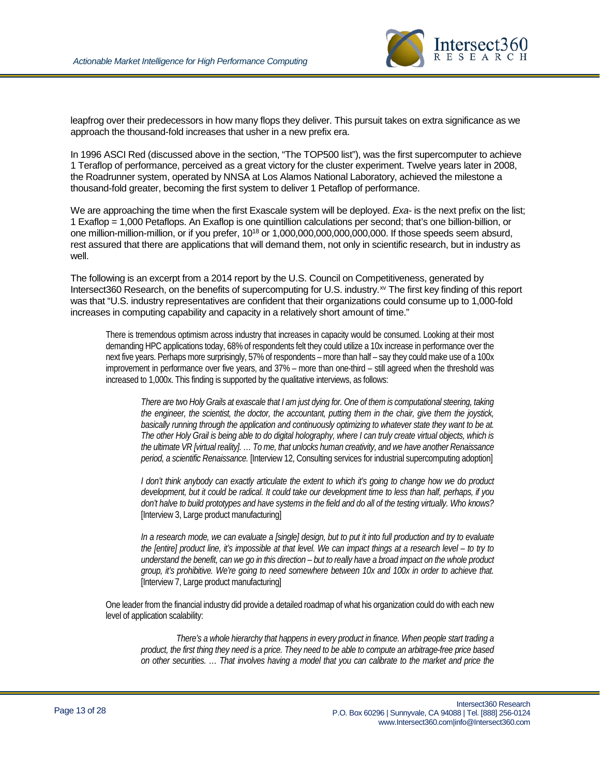

leapfrog over their predecessors in how many flops they deliver. This pursuit takes on extra significance as we approach the thousand-fold increases that usher in a new prefix era.

In 1996 ASCI Red (discussed above in the section, "The TOP500 list"), was the first supercomputer to achieve 1 Teraflop of performance, perceived as a great victory for the cluster experiment. Twelve years later in 2008, the Roadrunner system, operated by NNSA at Los Alamos National Laboratory, achieved the milestone a thousand-fold greater, becoming the first system to deliver 1 Petaflop of performance.

We are approaching the time when the first Exascale system will be deployed. *Exa-* is the next prefix on the list; 1 Exaflop = 1,000 Petaflops. An Exaflop is one quintillion calculations per second; that's one billion-billion, or one million-million-million, or if you prefer, 1018 or 1,000,000,000,000,000,000. If those speeds seem absurd, rest assured that there are applications that will demand them, not only in scientific research, but in industry as well.

The following is an excerpt from a 2014 report by the U.S. Council on Competitiveness, generated by Intersect360 Research, on the benefits of supercomputing for U.S. industry.<sup>[xv](#page-27-14)</sup> The first key finding of this report was that "U.S. industry representatives are confident that their organizations could consume up to 1,000-fold increases in computing capability and capacity in a relatively short amount of time."

There is tremendous optimism across industry that increases in capacity would be consumed. Looking at their most demanding HPC applications today, 68% of respondents felt they could utilize a 10x increase in performance over the next five years. Perhaps more surprisingly, 57% of respondents – more than half – say they could make use of a 100x improvement in performance over five years, and 37% – more than one-third – still agreed when the threshold was increased to 1,000x. This finding is supported by the qualitative interviews, as follows:

*There are two Holy Grails at exascale that I am just dying for. One of them is computational steering, taking the engineer, the scientist, the doctor, the accountant, putting them in the chair, give them the joystick, basically running through the application and continuously optimizing to whatever state they want to be at. The other Holy Grail is being able to do digital holography, where I can truly create virtual objects, which is the ultimate VR [virtual reality]. … To me, that unlocks human creativity, and we have another Renaissance period, a scientific Renaissance.* [Interview 12, Consulting services for industrial supercomputing adoption]

*I don't think anybody can exactly articulate the extent to which it's going to change how we do product development, but it could be radical. It could take our development time to less than half, perhaps, if you don't halve to build prototypes and have systems in the field and do all of the testing virtually. Who knows?* [Interview 3, Large product manufacturing]

*In a research mode, we can evaluate a [single] design, but to put it into full production and try to evaluate the [entire] product line, it's impossible at that level. We can impact things at a research level – to try to understand the benefit, can we go in this direction – but to really have a broad impact on the whole product group, it's prohibitive. We're going to need somewhere between 10x and 100x in order to achieve that.* [Interview 7, Large product manufacturing]

One leader from the financial industry did provide a detailed roadmap of what his organization could do with each new level of application scalability:

*There's a whole hierarchy that happens in every product in finance. When people start trading a product, the first thing they need is a price. They need to be able to compute an arbitrage-free price based on other securities. … That involves having a model that you can calibrate to the market and price the*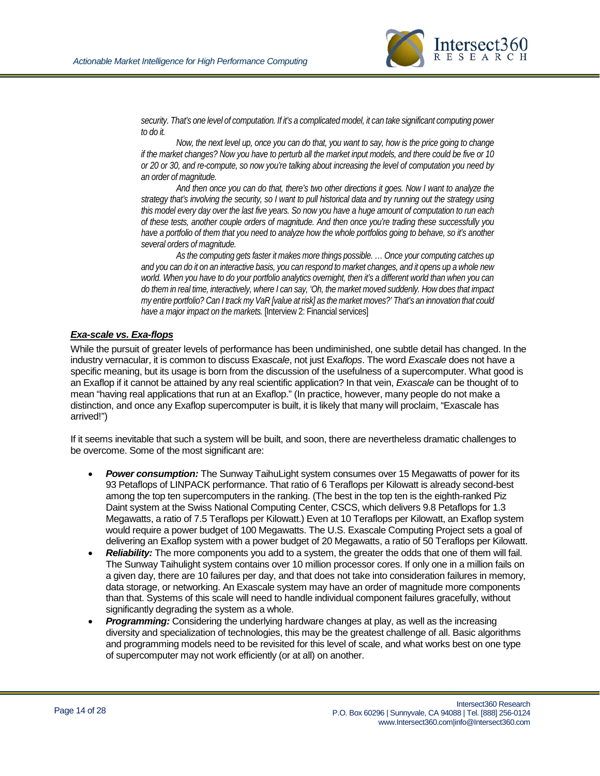

*security. That's one level of computation. If it's a complicated model, it can take significant computing power to do it.*

*Now, the next level up, once you can do that, you want to say, how is the price going to change if the market changes? Now you have to perturb all the market input models, and there could be five or 10 or 20 or 30, and re-compute, so now you're talking about increasing the level of computation you need by an order of magnitude.* 

*And then once you can do that, there's two other directions it goes. Now I want to analyze the strategy that's involving the security, so I want to pull historical data and try running out the strategy using this model every day over the last five years. So now you have a huge amount of computation to run each of these tests, another couple orders of magnitude. And then once you're trading these successfully you*  have a portfolio of them that you need to analyze how the whole portfolios going to behave, so it's another *several orders of magnitude.* 

*As the computing gets faster it makes more things possible. … Once your computing catches up and you can do it on an interactive basis, you can respond to market changes, and it opens up a whole new world. When you have to do your portfolio analytics overnight, then it's a different world than when you can do them in real time, interactively, where I can say, 'Oh, the market moved suddenly. How does that impact my entire portfolio? Can I track my VaR [value at risk] as themarket moves?' That's an innovation that could have a major impact on the markets.* [Interview 2: Financial services]

### *Exa-scale vs. Exa-flops*

While the pursuit of greater levels of performance has been undiminished, one subtle detail has changed. In the industry vernacular, it is common to discuss Exa*scale*, not just Exa*flops*. The word *Exascale* does not have a specific meaning, but its usage is born from the discussion of the usefulness of a supercomputer. What good is an Exaflop if it cannot be attained by any real scientific application? In that vein, *Exascale* can be thought of to mean "having real applications that run at an Exaflop." (In practice, however, many people do not make a distinction, and once any Exaflop supercomputer is built, it is likely that many will proclaim, "Exascale has arrived!")

If it seems inevitable that such a system will be built, and soon, there are nevertheless dramatic challenges to be overcome. Some of the most significant are:

- *Power consumption:* The Sunway TaihuLight system consumes over 15 Megawatts of power for its 93 Petaflops of LINPACK performance. That ratio of 6 Teraflops per Kilowatt is already second-best among the top ten supercomputers in the ranking. (The best in the top ten is the eighth-ranked Piz Daint system at the Swiss National Computing Center, CSCS, which delivers 9.8 Petaflops for 1.3 Megawatts, a ratio of 7.5 Teraflops per Kilowatt.) Even at 10 Teraflops per Kilowatt, an Exaflop system would require a power budget of 100 Megawatts. The U.S. Exascale Computing Project sets a goal of delivering an Exaflop system with a power budget of 20 Megawatts, a ratio of 50 Teraflops per Kilowatt.
- **Reliability:** The more components you add to a system, the greater the odds that one of them will fail. The Sunway Taihulight system contains over 10 million processor cores. If only one in a million fails on a given day, there are 10 failures per day, and that does not take into consideration failures in memory, data storage, or networking. An Exascale system may have an order of magnitude more components than that. Systems of this scale will need to handle individual component failures gracefully, without significantly degrading the system as a whole.
- *Programming:* Considering the underlying hardware changes at play, as well as the increasing diversity and specialization of technologies, this may be the greatest challenge of all. Basic algorithms and programming models need to be revisited for this level of scale, and what works best on one type of supercomputer may not work efficiently (or at all) on another.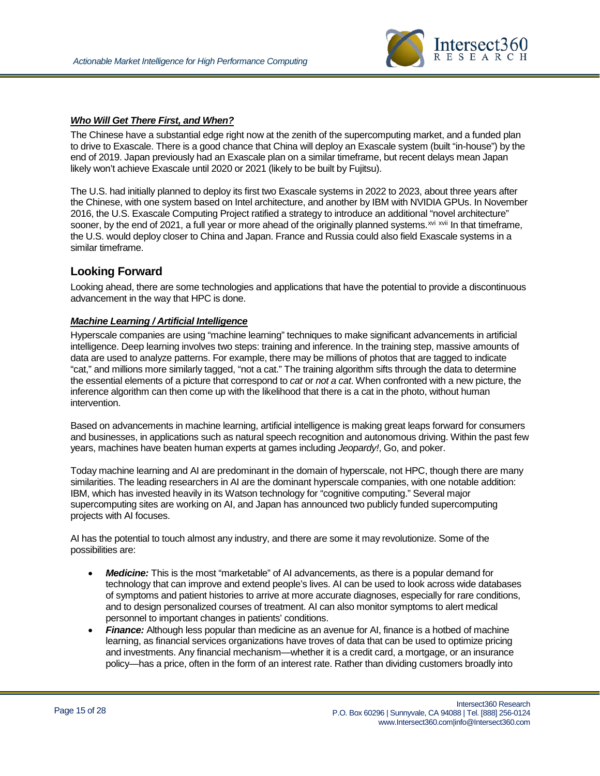

### *Who Will Get There First, and When?*

The Chinese have a substantial edge right now at the zenith of the supercomputing market, and a funded plan to drive to Exascale. There is a good chance that China will deploy an Exascale system (built "in-house") by the end of 2019. Japan previously had an Exascale plan on a similar timeframe, but recent delays mean Japan likely won't achieve Exascale until 2020 or 2021 (likely to be built by Fujitsu).

The U.S. had initially planned to deploy its first two Exascale systems in 2022 to 2023, about three years after the Chinese, with one system based on Intel architecture, and another by IBM with NVIDIA GPUs. In November 2016, the U.S. Exascale Computing Project ratified a strategy to introduce an additional "novel architecture" sooner, by the end of 2021, a full year or more ahead of the originally planned systems.<sup>[xvi](#page-27-15) [xvii](#page-27-16)</sup> In that timeframe, the U.S. would deploy closer to China and Japan. France and Russia could also field Exascale systems in a similar timeframe.

### **Looking Forward**

Looking ahead, there are some technologies and applications that have the potential to provide a discontinuous advancement in the way that HPC is done.

### *Machine Learning / Artificial Intelligence*

Hyperscale companies are using "machine learning" techniques to make significant advancements in artificial intelligence. Deep learning involves two steps: training and inference. In the training step, massive amounts of data are used to analyze patterns. For example, there may be millions of photos that are tagged to indicate "cat," and millions more similarly tagged, "not a cat." The training algorithm sifts through the data to determine the essential elements of a picture that correspond to *cat* or *not a cat*. When confronted with a new picture, the inference algorithm can then come up with the likelihood that there is a cat in the photo, without human intervention.

Based on advancements in machine learning, artificial intelligence is making great leaps forward for consumers and businesses, in applications such as natural speech recognition and autonomous driving. Within the past few years, machines have beaten human experts at games including *Jeopardy!*, Go, and poker.

Today machine learning and AI are predominant in the domain of hyperscale, not HPC, though there are many similarities. The leading researchers in AI are the dominant hyperscale companies, with one notable addition: IBM, which has invested heavily in its Watson technology for "cognitive computing." Several major supercomputing sites are working on AI, and Japan has announced two publicly funded supercomputing projects with AI focuses.

AI has the potential to touch almost any industry, and there are some it may revolutionize. Some of the possibilities are:

- *Medicine:* This is the most "marketable" of AI advancements, as there is a popular demand for technology that can improve and extend people's lives. AI can be used to look across wide databases of symptoms and patient histories to arrive at more accurate diagnoses, especially for rare conditions, and to design personalized courses of treatment. AI can also monitor symptoms to alert medical personnel to important changes in patients' conditions.
- *Finance:* Although less popular than medicine as an avenue for AI, finance is a hotbed of machine learning, as financial services organizations have troves of data that can be used to optimize pricing and investments. Any financial mechanism—whether it is a credit card, a mortgage, or an insurance policy—has a price, often in the form of an interest rate. Rather than dividing customers broadly into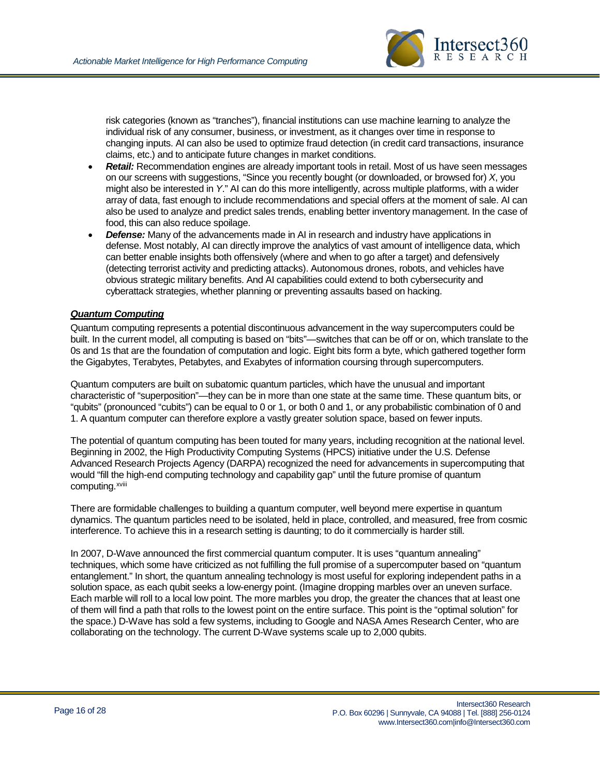

risk categories (known as "tranches"), financial institutions can use machine learning to analyze the individual risk of any consumer, business, or investment, as it changes over time in response to changing inputs. AI can also be used to optimize fraud detection (in credit card transactions, insurance claims, etc.) and to anticipate future changes in market conditions.

- *Retail:* Recommendation engines are already important tools in retail. Most of us have seen messages on our screens with suggestions, "Since you recently bought (or downloaded, or browsed for) *X*, you might also be interested in *Y*." AI can do this more intelligently, across multiple platforms, with a wider array of data, fast enough to include recommendations and special offers at the moment of sale. AI can also be used to analyze and predict sales trends, enabling better inventory management. In the case of food, this can also reduce spoilage.
- **Defense:** Many of the advancements made in AI in research and industry have applications in defense. Most notably, AI can directly improve the analytics of vast amount of intelligence data, which can better enable insights both offensively (where and when to go after a target) and defensively (detecting terrorist activity and predicting attacks). Autonomous drones, robots, and vehicles have obvious strategic military benefits. And AI capabilities could extend to both cybersecurity and cyberattack strategies, whether planning or preventing assaults based on hacking.

### *Quantum Computing*

Quantum computing represents a potential discontinuous advancement in the way supercomputers could be built. In the current model, all computing is based on "bits"—switches that can be off or on, which translate to the 0s and 1s that are the foundation of computation and logic. Eight bits form a byte, which gathered together form the Gigabytes, Terabytes, Petabytes, and Exabytes of information coursing through supercomputers.

Quantum computers are built on subatomic quantum particles, which have the unusual and important characteristic of "superposition"—they can be in more than one state at the same time. These quantum bits, or "qubits" (pronounced "cubits") can be equal to 0 or 1, or both 0 and 1, or any probabilistic combination of 0 and 1. A quantum computer can therefore explore a vastly greater solution space, based on fewer inputs.

The potential of quantum computing has been touted for many years, including recognition at the national level. Beginning in 2002, the High Productivity Computing Systems (HPCS) initiative under the U.S. Defense Advanced Research Projects Agency (DARPA) recognized the need for advancements in supercomputing that would "fill the [h](#page-27-17)igh-end computing technology and capability gap" until the future promise of quantum computing.xviii

There are formidable challenges to building a quantum computer, well beyond mere expertise in quantum dynamics. The quantum particles need to be isolated, held in place, controlled, and measured, free from cosmic interference. To achieve this in a research setting is daunting; to do it commercially is harder still.

In 2007, D-Wave announced the first commercial quantum computer. It is uses "quantum annealing" techniques, which some have criticized as not fulfilling the full promise of a supercomputer based on "quantum entanglement." In short, the quantum annealing technology is most useful for exploring independent paths in a solution space, as each qubit seeks a low-energy point. (Imagine dropping marbles over an uneven surface. Each marble will roll to a local low point. The more marbles you drop, the greater the chances that at least one of them will find a path that rolls to the lowest point on the entire surface. This point is the "optimal solution" for the space.) D-Wave has sold a few systems, including to Google and NASA Ames Research Center, who are collaborating on the technology. The current D-Wave systems scale up to 2,000 qubits.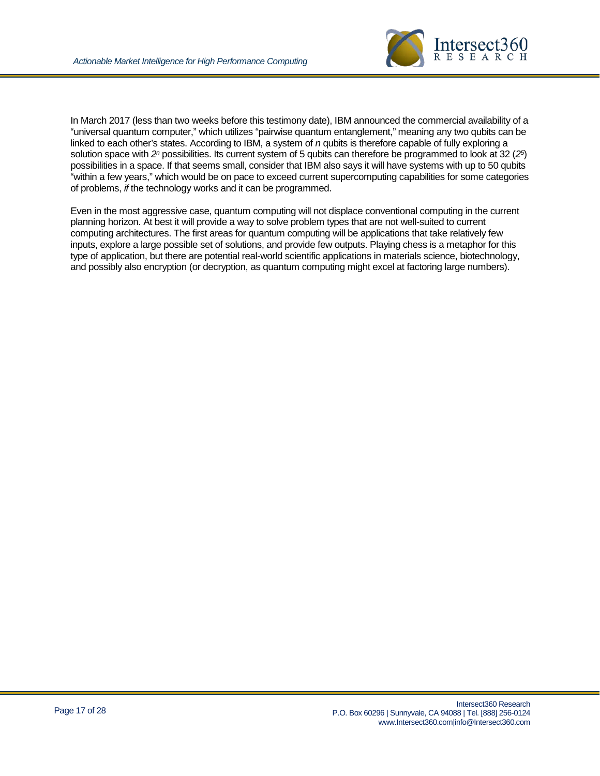

In March 2017 (less than two weeks before this testimony date), IBM announced the commercial availability of a "universal quantum computer," which utilizes "pairwise quantum entanglement," meaning any two qubits can be linked to each other's states. According to IBM, a system of *n* qubits is therefore capable of fully exploring a solution space with *2n* possibilities. Its current system of 5 qubits can therefore be programmed to look at 32 (*25*) possibilities in a space. If that seems small, consider that IBM also says it will have systems with up to 50 qubits "within a few years," which would be on pace to exceed current supercomputing capabilities for some categories of problems, *if* the technology works and it can be programmed.

Even in the most aggressive case, quantum computing will not displace conventional computing in the current planning horizon. At best it will provide a way to solve problem types that are not well-suited to current computing architectures. The first areas for quantum computing will be applications that take relatively few inputs, explore a large possible set of solutions, and provide few outputs. Playing chess is a metaphor for this type of application, but there are potential real-world scientific applications in materials science, biotechnology, and possibly also encryption (or decryption, as quantum computing might excel at factoring large numbers).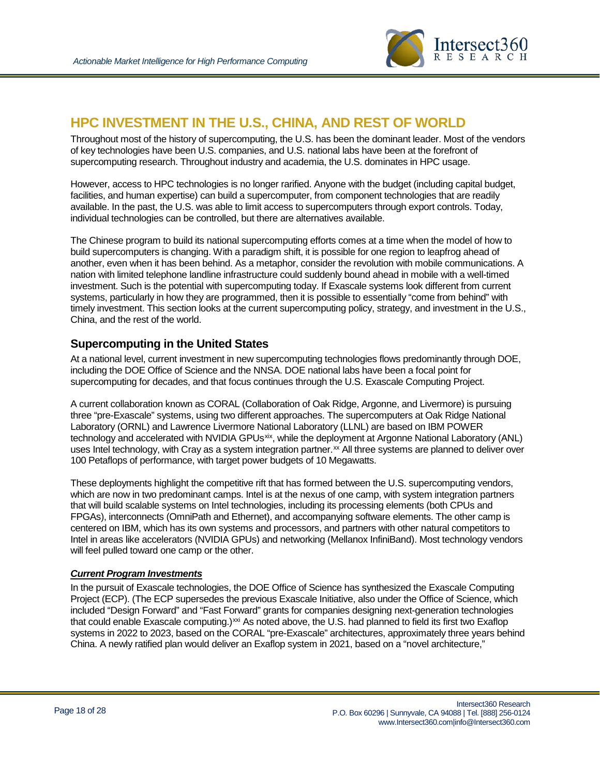

## **HPC INVESTMENT IN THE U.S., CHINA, AND REST OF WORLD**

Throughout most of the history of supercomputing, the U.S. has been the dominant leader. Most of the vendors of key technologies have been U.S. companies, and U.S. national labs have been at the forefront of supercomputing research. Throughout industry and academia, the U.S. dominates in HPC usage.

However, access to HPC technologies is no longer rarified. Anyone with the budget (including capital budget, facilities, and human expertise) can build a supercomputer, from component technologies that are readily available. In the past, the U.S. was able to limit access to supercomputers through export controls. Today, individual technologies can be controlled, but there are alternatives available.

The Chinese program to build its national supercomputing efforts comes at a time when the model of how to build supercomputers is changing. With a paradigm shift, it is possible for one region to leapfrog ahead of another, even when it has been behind. As a metaphor, consider the revolution with mobile communications. A nation with limited telephone landline infrastructure could suddenly bound ahead in mobile with a well-timed investment. Such is the potential with supercomputing today. If Exascale systems look different from current systems, particularly in how they are programmed, then it is possible to essentially "come from behind" with timely investment. This section looks at the current supercomputing policy, strategy, and investment in the U.S., China, and the rest of the world.

## **Supercomputing in the United States**

At a national level, current investment in new supercomputing technologies flows predominantly through DOE, including the DOE Office of Science and the NNSA. DOE national labs have been a focal point for supercomputing for decades, and that focus continues through the U.S. Exascale Computing Project.

A current collaboration known as CORAL (Collaboration of Oak Ridge, Argonne, and Livermore) is pursuing three "pre-Exascale" systems, using two different approaches. The supercomputers at Oak Ridge National Laboratory (ORNL) and Lawrence Livermore National Laboratory (LLNL) are based on IBM POWER technology and accelerated with NVIDIA GPUs<sup>[xix](#page-27-18)</sup>, while the deployment at Argonne National Laboratory (ANL) uses Intel technology, with Cray as a system integration partner.<sup>[xx](#page-27-19)</sup> All three systems are planned to deliver over 100 Petaflops of performance, with target power budgets of 10 Megawatts.

These deployments highlight the competitive rift that has formed between the U.S. supercomputing vendors, which are now in two predominant camps. Intel is at the nexus of one camp, with system integration partners that will build scalable systems on Intel technologies, including its processing elements (both CPUs and FPGAs), interconnects (OmniPath and Ethernet), and accompanying software elements. The other camp is centered on IBM, which has its own systems and processors, and partners with other natural competitors to Intel in areas like accelerators (NVIDIA GPUs) and networking (Mellanox InfiniBand). Most technology vendors will feel pulled toward one camp or the other.

### *Current Program Investments*

In the pursuit of Exascale technologies, the DOE Office of Science has synthesized the Exascale Computing Project (ECP). (The ECP supersedes the previous Exascale Initiative, also under the Office of Science, which included "Design Forward" and "Fast Forward" grants for companies designing next-generation technologies that could enable Exascale computing.)<sup>[xxi](#page-27-20)</sup> As noted above, the U.S. had planned to field its first two Exaflop systems in 2022 to 2023, based on the CORAL "pre-Exascale" architectures, approximately three years behind China. A newly ratified plan would deliver an Exaflop system in 2021, based on a "novel architecture,"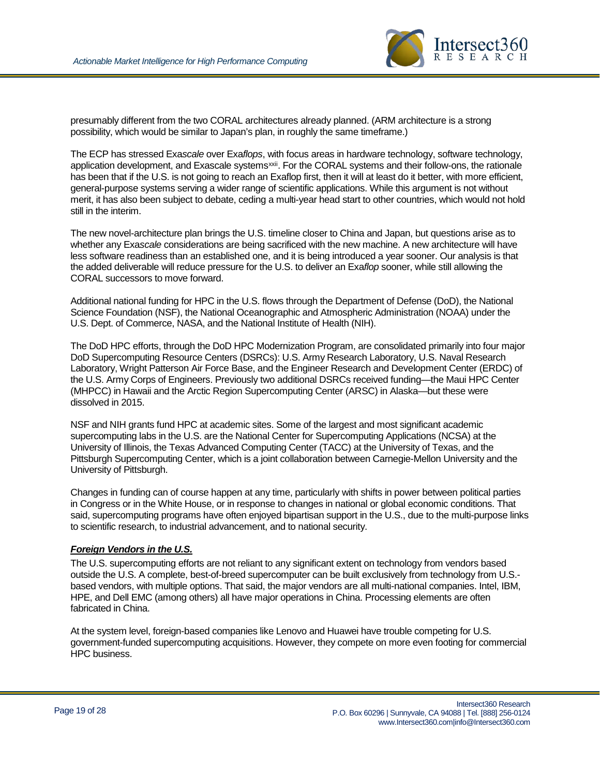

presumably different from the two CORAL architectures already planned. (ARM architecture is a strong possibility, which would be similar to Japan's plan, in roughly the same timeframe.)

The ECP has stressed Exa*scale* over Exa*flops*, with focus areas in hardware technology, software technology, application development, and Exascale systems<sup>[xxii](#page-27-21)</sup>. For the CORAL systems and their follow-ons, the rationale has been that if the U.S. is not going to reach an Exaflop first, then it will at least do it better, with more efficient, general-purpose systems serving a wider range of scientific applications. While this argument is not without merit, it has also been subject to debate, ceding a multi-year head start to other countries, which would not hold still in the interim.

The new novel-architecture plan brings the U.S. timeline closer to China and Japan, but questions arise as to whether any Exa*scale* considerations are being sacrificed with the new machine. A new architecture will have less software readiness than an established one, and it is being introduced a year sooner. Our analysis is that the added deliverable will reduce pressure for the U.S. to deliver an Exa*flop* sooner, while still allowing the CORAL successors to move forward.

Additional national funding for HPC in the U.S. flows through the Department of Defense (DoD), the National Science Foundation (NSF), the National Oceanographic and Atmospheric Administration (NOAA) under the U.S. Dept. of Commerce, NASA, and the National Institute of Health (NIH).

The DoD HPC efforts, through the DoD HPC Modernization Program, are consolidated primarily into four major DoD Supercomputing Resource Centers (DSRCs): U.S. Army Research Laboratory, U.S. Naval Research Laboratory, Wright Patterson Air Force Base, and the Engineer Research and Development Center (ERDC) of the U.S. Army Corps of Engineers. Previously two additional DSRCs received funding—the Maui HPC Center (MHPCC) in Hawaii and the Arctic Region Supercomputing Center (ARSC) in Alaska—but these were dissolved in 2015.

NSF and NIH grants fund HPC at academic sites. Some of the largest and most significant academic supercomputing labs in the U.S. are the National Center for Supercomputing Applications (NCSA) at the University of Illinois, the Texas Advanced Computing Center (TACC) at the University of Texas, and the Pittsburgh Supercomputing Center, which is a joint collaboration between Carnegie-Mellon University and the University of Pittsburgh.

Changes in funding can of course happen at any time, particularly with shifts in power between political parties in Congress or in the White House, or in response to changes in national or global economic conditions. That said, supercomputing programs have often enjoyed bipartisan support in the U.S., due to the multi-purpose links to scientific research, to industrial advancement, and to national security.

### *Foreign Vendors in the U.S.*

The U.S. supercomputing efforts are not reliant to any significant extent on technology from vendors based outside the U.S. A complete, best-of-breed supercomputer can be built exclusively from technology from U.S. based vendors, with multiple options. That said, the major vendors are all multi-national companies. Intel, IBM, HPE, and Dell EMC (among others) all have major operations in China. Processing elements are often fabricated in China.

At the system level, foreign-based companies like Lenovo and Huawei have trouble competing for U.S. government-funded supercomputing acquisitions. However, they compete on more even footing for commercial HPC business.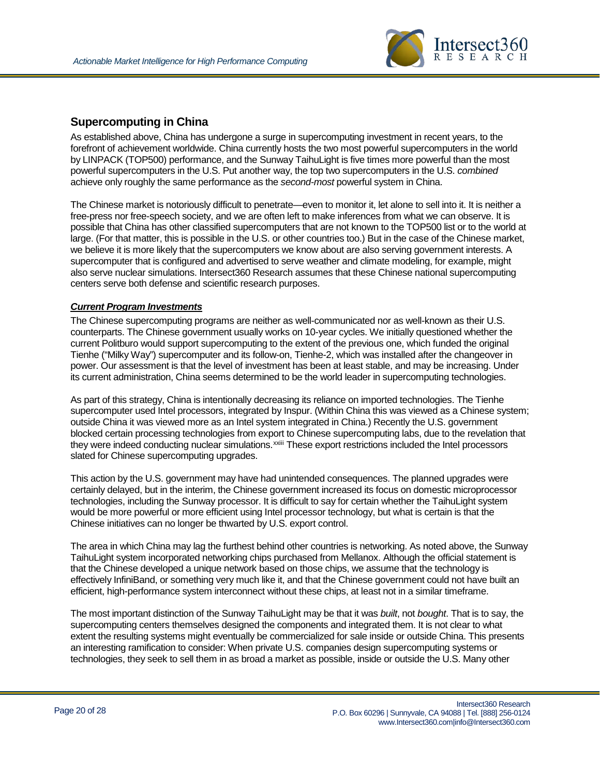

## **Supercomputing in China**

As established above, China has undergone a surge in supercomputing investment in recent years, to the forefront of achievement worldwide. China currently hosts the two most powerful supercomputers in the world by LINPACK (TOP500) performance, and the Sunway TaihuLight is five times more powerful than the most powerful supercomputers in the U.S. Put another way, the top two supercomputers in the U.S. *combined* achieve only roughly the same performance as the *second-most* powerful system in China.

The Chinese market is notoriously difficult to penetrate—even to monitor it, let alone to sell into it. It is neither a free-press nor free-speech society, and we are often left to make inferences from what we can observe. It is possible that China has other classified supercomputers that are not known to the TOP500 list or to the world at large. (For that matter, this is possible in the U.S. or other countries too.) But in the case of the Chinese market, we believe it is more likely that the supercomputers we know about are also serving government interests. A supercomputer that is configured and advertised to serve weather and climate modeling, for example, might also serve nuclear simulations. Intersect360 Research assumes that these Chinese national supercomputing centers serve both defense and scientific research purposes.

### *Current Program Investments*

The Chinese supercomputing programs are neither as well-communicated nor as well-known as their U.S. counterparts. The Chinese government usually works on 10-year cycles. We initially questioned whether the current Politburo would support supercomputing to the extent of the previous one, which funded the original Tienhe ("Milky Way") supercomputer and its follow-on, Tienhe-2, which was installed after the changeover in power. Our assessment is that the level of investment has been at least stable, and may be increasing. Under its current administration, China seems determined to be the world leader in supercomputing technologies.

As part of this strategy, China is intentionally decreasing its reliance on imported technologies. The Tienhe supercomputer used Intel processors, integrated by Inspur. (Within China this was viewed as a Chinese system; outside China it was viewed more as an Intel system integrated in China.) Recently the U.S. government blocked certain processing technologies from export to Chinese supercomputing labs, due to the revelation that they were indeed conducting nuclear simulations.<sup>xxiii</sup> [T](#page-27-22)hese export restrictions included the Intel processors slated for Chinese supercomputing upgrades.

This action by the U.S. government may have had unintended consequences. The planned upgrades were certainly delayed, but in the interim, the Chinese government increased its focus on domestic microprocessor technologies, including the Sunway processor. It is difficult to say for certain whether the TaihuLight system would be more powerful or more efficient using Intel processor technology, but what is certain is that the Chinese initiatives can no longer be thwarted by U.S. export control.

The area in which China may lag the furthest behind other countries is networking. As noted above, the Sunway TaihuLight system incorporated networking chips purchased from Mellanox. Although the official statement is that the Chinese developed a unique network based on those chips, we assume that the technology is effectively InfiniBand, or something very much like it, and that the Chinese government could not have built an efficient, high-performance system interconnect without these chips, at least not in a similar timeframe.

The most important distinction of the Sunway TaihuLight may be that it was *built*, not *bought*. That is to say, the supercomputing centers themselves designed the components and integrated them. It is not clear to what extent the resulting systems might eventually be commercialized for sale inside or outside China. This presents an interesting ramification to consider: When private U.S. companies design supercomputing systems or technologies, they seek to sell them in as broad a market as possible, inside or outside the U.S. Many other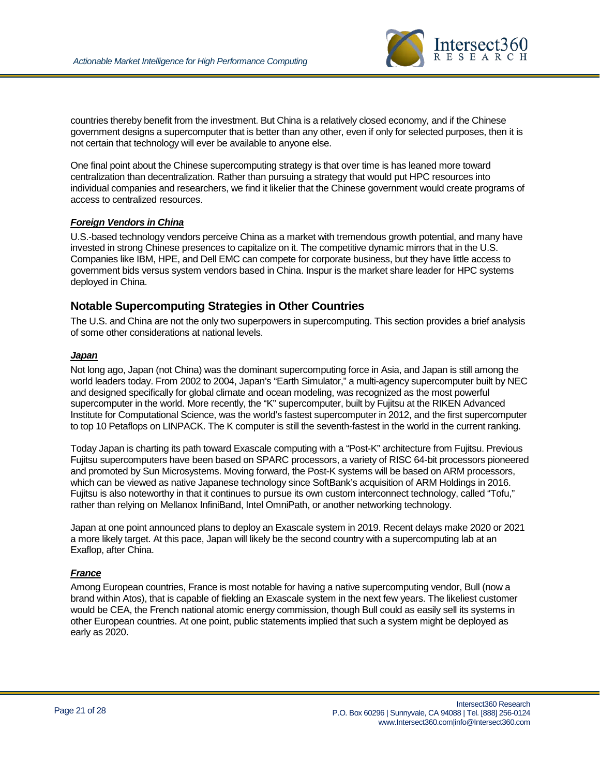

countries thereby benefit from the investment. But China is a relatively closed economy, and if the Chinese government designs a supercomputer that is better than any other, even if only for selected purposes, then it is not certain that technology will ever be available to anyone else.

One final point about the Chinese supercomputing strategy is that over time is has leaned more toward centralization than decentralization. Rather than pursuing a strategy that would put HPC resources into individual companies and researchers, we find it likelier that the Chinese government would create programs of access to centralized resources.

### *Foreign Vendors in China*

U.S.-based technology vendors perceive China as a market with tremendous growth potential, and many have invested in strong Chinese presences to capitalize on it. The competitive dynamic mirrors that in the U.S. Companies like IBM, HPE, and Dell EMC can compete for corporate business, but they have little access to government bids versus system vendors based in China. Inspur is the market share leader for HPC systems deployed in China.

### **Notable Supercomputing Strategies in Other Countries**

The U.S. and China are not the only two superpowers in supercomputing. This section provides a brief analysis of some other considerations at national levels.

### *Japan*

Not long ago, Japan (not China) was the dominant supercomputing force in Asia, and Japan is still among the world leaders today. From 2002 to 2004, Japan's "Earth Simulator," a multi-agency supercomputer built by NEC and designed specifically for global climate and ocean modeling, was recognized as the most powerful supercomputer in the world. More recently, the "K" supercomputer, built by Fujitsu at the RIKEN Advanced Institute for Computational Science, was the world's fastest supercomputer in 2012, and the first supercomputer to top 10 Petaflops on LINPACK. The K computer is still the seventh-fastest in the world in the current ranking.

Today Japan is charting its path toward Exascale computing with a "Post-K" architecture from Fujitsu. Previous Fujitsu supercomputers have been based on SPARC processors, a variety of RISC 64-bit processors pioneered and promoted by Sun Microsystems. Moving forward, the Post-K systems will be based on ARM processors, which can be viewed as native Japanese technology since SoftBank's acquisition of ARM Holdings in 2016. Fujitsu is also noteworthy in that it continues to pursue its own custom interconnect technology, called "Tofu," rather than relying on Mellanox InfiniBand, Intel OmniPath, or another networking technology.

Japan at one point announced plans to deploy an Exascale system in 2019. Recent delays make 2020 or 2021 a more likely target. At this pace, Japan will likely be the second country with a supercomputing lab at an Exaflop, after China.

### *France*

Among European countries, France is most notable for having a native supercomputing vendor, Bull (now a brand within Atos), that is capable of fielding an Exascale system in the next few years. The likeliest customer would be CEA, the French national atomic energy commission, though Bull could as easily sell its systems in other European countries. At one point, public statements implied that such a system might be deployed as early as 2020.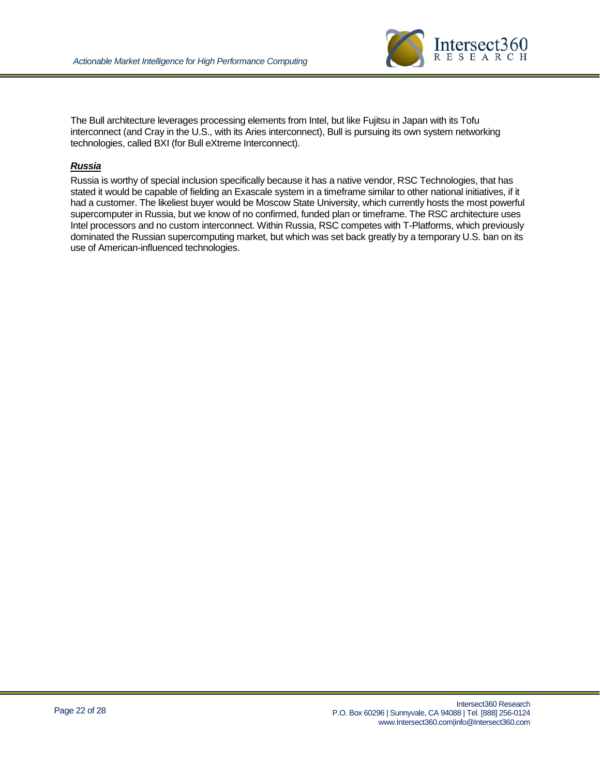

The Bull architecture leverages processing elements from Intel, but like Fujitsu in Japan with its Tofu interconnect (and Cray in the U.S., with its Aries interconnect), Bull is pursuing its own system networking technologies, called BXI (for Bull eXtreme Interconnect).

### *Russia*

Russia is worthy of special inclusion specifically because it has a native vendor, RSC Technologies, that has stated it would be capable of fielding an Exascale system in a timeframe similar to other national initiatives, if it had a customer. The likeliest buyer would be Moscow State University, which currently hosts the most powerful supercomputer in Russia, but we know of no confirmed, funded plan or timeframe. The RSC architecture uses Intel processors and no custom interconnect. Within Russia, RSC competes with T-Platforms, which previously dominated the Russian supercomputing market, but which was set back greatly by a temporary U.S. ban on its use of American-influenced technologies.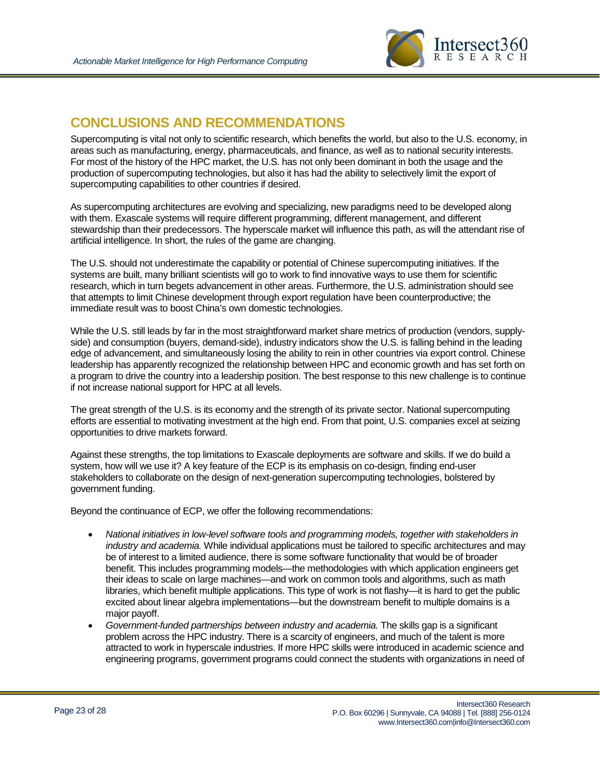

## **CONCLUSIONS AND RECOMMENDATIONS**

Supercomputing is vital not only to scientific research, which benefits the world, but also to the U.S. economy, in areas such as manufacturing, energy, pharmaceuticals, and finance, as well as to national security interests. For most of the history of the HPC market, the U.S. has not only been dominant in both the usage and the production of supercomputing technologies, but also it has had the ability to selectively limit the export of supercomputing capabilities to other countries if desired.

As supercomputing architectures are evolving and specializing, new paradigms need to be developed along with them. Exascale systems will require different programming, different management, and different stewardship than their predecessors. The hyperscale market will influence this path, as will the attendant rise of artificial intelligence. In short, the rules of the game are changing.

The U.S. should not underestimate the capability or potential of Chinese supercomputing initiatives. If the systems are built, many brilliant scientists will go to work to find innovative ways to use them for scientific research, which in turn begets advancement in other areas. Furthermore, the U.S. administration should see that attempts to limit Chinese development through export regulation have been counterproductive; the immediate result was to boost China's own domestic technologies.

While the U.S. still leads by far in the most straightforward market share metrics of production (vendors, supplyside) and consumption (buyers, demand-side), industry indicators show the U.S. is falling behind in the leading edge of advancement, and simultaneously losing the ability to rein in other countries via export control. Chinese leadership has apparently recognized the relationship between HPC and economic growth and has set forth on a program to drive the country into a leadership position. The best response to this new challenge is to continue if not increase national support for HPC at all levels.

The great strength of the U.S. is its economy and the strength of its private sector. National supercomputing efforts are essential to motivating investment at the high end. From that point, U.S. companies excel at seizing opportunities to drive markets forward.

Against these strengths, the top limitations to Exascale deployments are software and skills. If we do build a system, how will we use it? A key feature of the ECP is its emphasis on co-design, finding end-user stakeholders to collaborate on the design of next-generation supercomputing technologies, bolstered by government funding.

Beyond the continuance of ECP, we offer the following recommendations:

- *National initiatives in low-level software tools and programming models, together with stakeholders in industry and academia.* While individual applications must be tailored to specific architectures and may be of interest to a limited audience, there is some software functionality that would be of broader benefit. This includes programming models—the methodologies with which application engineers get their ideas to scale on large machines—and work on common tools and algorithms, such as math libraries, which benefit multiple applications. This type of work is not flashy—it is hard to get the public excited about linear algebra implementations—but the downstream benefit to multiple domains is a major payoff.
- *Government-funded partnerships between industry and academia.* The skills gap is a significant problem across the HPC industry. There is a scarcity of engineers, and much of the talent is more attracted to work in hyperscale industries. If more HPC skills were introduced in academic science and engineering programs, government programs could connect the students with organizations in need of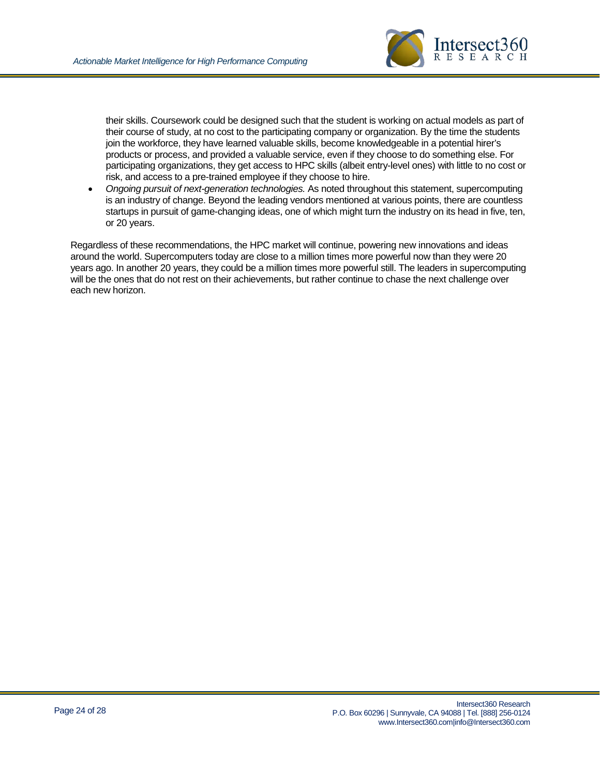

their skills. Coursework could be designed such that the student is working on actual models as part of their course of study, at no cost to the participating company or organization. By the time the students join the workforce, they have learned valuable skills, become knowledgeable in a potential hirer's products or process, and provided a valuable service, even if they choose to do something else. For participating organizations, they get access to HPC skills (albeit entry-level ones) with little to no cost or risk, and access to a pre-trained employee if they choose to hire.

• *Ongoing pursuit of next-generation technologies.* As noted throughout this statement, supercomputing is an industry of change. Beyond the leading vendors mentioned at various points, there are countless startups in pursuit of game-changing ideas, one of which might turn the industry on its head in five, ten, or 20 years.

Regardless of these recommendations, the HPC market will continue, powering new innovations and ideas around the world. Supercomputers today are close to a million times more powerful now than they were 20 years ago. In another 20 years, they could be a million times more powerful still. The leaders in supercomputing will be the ones that do not rest on their achievements, but rather continue to chase the next challenge over each new horizon.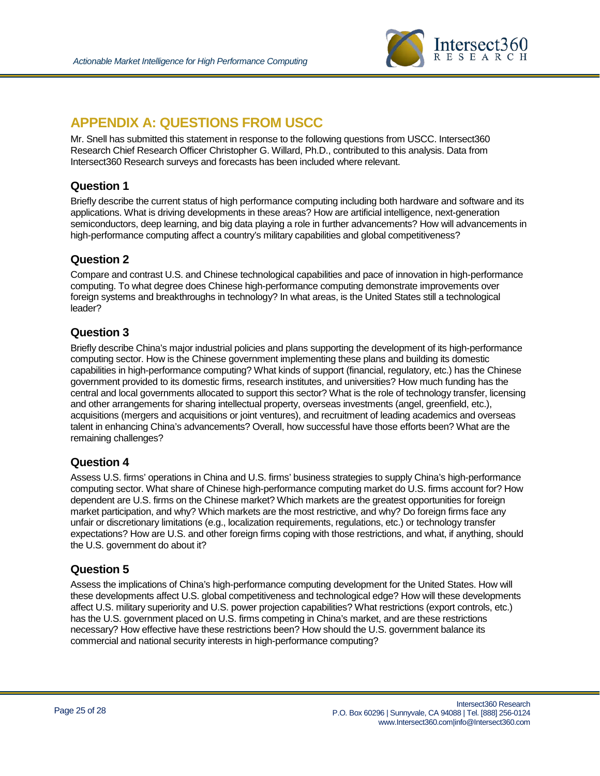

## **APPENDIX A: QUESTIONS FROM USCC**

Mr. Snell has submitted this statement in response to the following questions from USCC. Intersect360 Research Chief Research Officer Christopher G. Willard, Ph.D., contributed to this analysis. Data from Intersect360 Research surveys and forecasts has been included where relevant.

## **Question 1**

Briefly describe the current status of high performance computing including both hardware and software and its applications. What is driving developments in these areas? How are artificial intelligence, next-generation semiconductors, deep learning, and big data playing a role in further advancements? How will advancements in high-performance computing affect a country's military capabilities and global competitiveness?

## **Question 2**

Compare and contrast U.S. and Chinese technological capabilities and pace of innovation in high-performance computing. To what degree does Chinese high-performance computing demonstrate improvements over foreign systems and breakthroughs in technology? In what areas, is the United States still a technological leader?

## **Question 3**

Briefly describe China's major industrial policies and plans supporting the development of its high-performance computing sector. How is the Chinese government implementing these plans and building its domestic capabilities in high-performance computing? What kinds of support (financial, regulatory, etc.) has the Chinese government provided to its domestic firms, research institutes, and universities? How much funding has the central and local governments allocated to support this sector? What is the role of technology transfer, licensing and other arrangements for sharing intellectual property, overseas investments (angel, greenfield, etc.), acquisitions (mergers and acquisitions or joint ventures), and recruitment of leading academics and overseas talent in enhancing China's advancements? Overall, how successful have those efforts been? What are the remaining challenges?

## **Question 4**

Assess U.S. firms' operations in China and U.S. firms' business strategies to supply China's high-performance computing sector. What share of Chinese high-performance computing market do U.S. firms account for? How dependent are U.S. firms on the Chinese market? Which markets are the greatest opportunities for foreign market participation, and why? Which markets are the most restrictive, and why? Do foreign firms face any unfair or discretionary limitations (e.g., localization requirements, regulations, etc.) or technology transfer expectations? How are U.S. and other foreign firms coping with those restrictions, and what, if anything, should the U.S. government do about it?

## **Question 5**

Assess the implications of China's high-performance computing development for the United States. How will these developments affect U.S. global competitiveness and technological edge? How will these developments affect U.S. military superiority and U.S. power projection capabilities? What restrictions (export controls, etc.) has the U.S. government placed on U.S. firms competing in China's market, and are these restrictions necessary? How effective have these restrictions been? How should the U.S. government balance its commercial and national security interests in high-performance computing?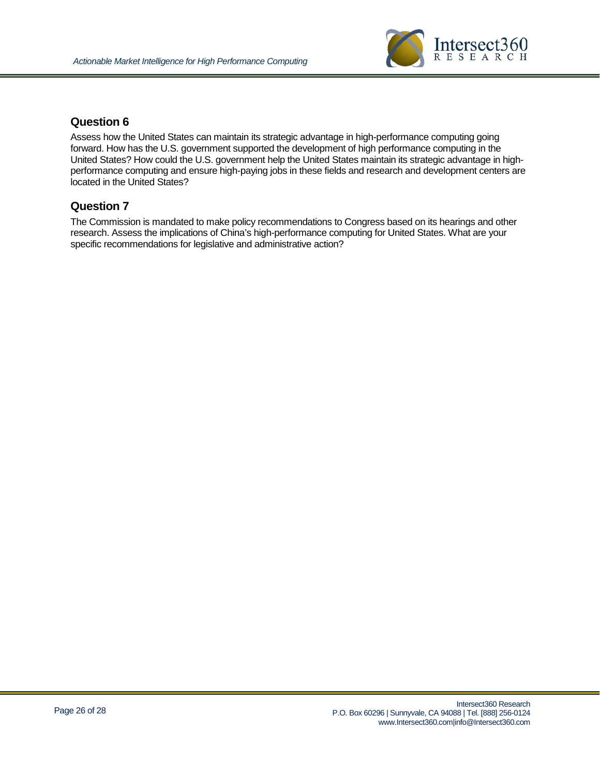

## **Question 6**

Assess how the United States can maintain its strategic advantage in high-performance computing going forward. How has the U.S. government supported the development of high performance computing in the United States? How could the U.S. government help the United States maintain its strategic advantage in highperformance computing and ensure high-paying jobs in these fields and research and development centers are located in the United States?

## **Question 7**

The Commission is mandated to make policy recommendations to Congress based on its hearings and other research. Assess the implications of China's high-performance computing for United States. What are your specific recommendations for legislative and administrative action?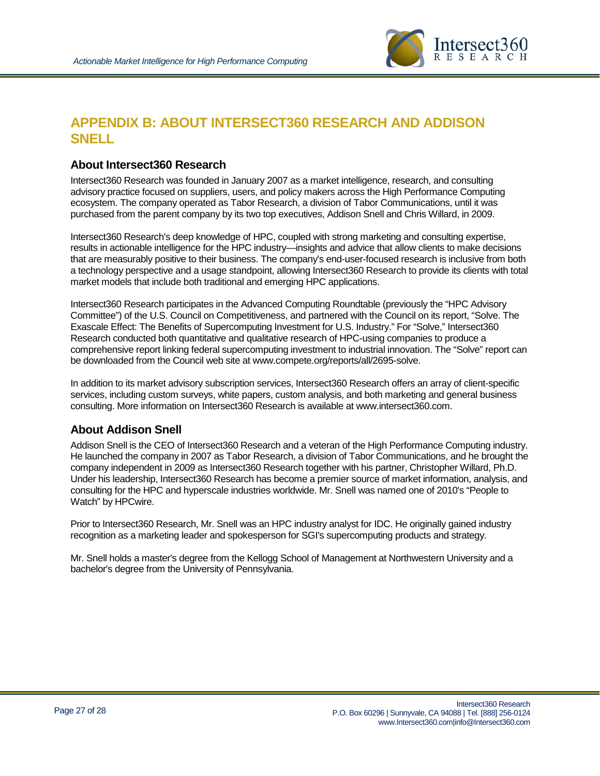

## **APPENDIX B: ABOUT INTERSECT360 RESEARCH AND ADDISON SNELL**

## **About Intersect360 Research**

Intersect360 Research was founded in January 2007 as a market intelligence, research, and consulting advisory practice focused on suppliers, users, and policy makers across the High Performance Computing ecosystem. The company operated as Tabor Research, a division of Tabor Communications, until it was purchased from the parent company by its two top executives, Addison Snell and Chris Willard, in 2009.

Intersect360 Research's deep knowledge of HPC, coupled with strong marketing and consulting expertise, results in actionable intelligence for the HPC industry—insights and advice that allow clients to make decisions that are measurably positive to their business. The company's end-user-focused research is inclusive from both a technology perspective and a usage standpoint, allowing Intersect360 Research to provide its clients with total market models that include both traditional and emerging HPC applications.

Intersect360 Research participates in the Advanced Computing Roundtable (previously the "HPC Advisory Committee") of the U.S. Council on Competitiveness, and partnered with the Council on its report, "Solve. The Exascale Effect: The Benefits of Supercomputing Investment for U.S. Industry." For "Solve," Intersect360 Research conducted both quantitative and qualitative research of HPC-using companies to produce a comprehensive report linking federal supercomputing investment to industrial innovation. The "Solve" report can be downloaded from the Council web site at www.compete.org/reports/all/2695-solve.

In addition to its market advisory subscription services, Intersect360 Research offers an array of client-specific services, including custom surveys, white papers, custom analysis, and both marketing and general business consulting. More information on Intersect360 Research is available at www.intersect360.com.

## **About Addison Snell**

Addison Snell is the CEO of Intersect360 Research and a veteran of the High Performance Computing industry. He launched the company in 2007 as Tabor Research, a division of Tabor Communications, and he brought the company independent in 2009 as Intersect360 Research together with his partner, Christopher Willard, Ph.D. Under his leadership, Intersect360 Research has become a premier source of market information, analysis, and consulting for the HPC and hyperscale industries worldwide. Mr. Snell was named one of 2010's "People to Watch" by HPCwire.

Prior to Intersect360 Research, Mr. Snell was an HPC industry analyst for IDC. He originally gained industry recognition as a marketing leader and spokesperson for SGI's supercomputing products and strategy.

Mr. Snell holds a master's degree from the Kellogg School of Management at Northwestern University and a bachelor's degree from the University of Pennsylvania.